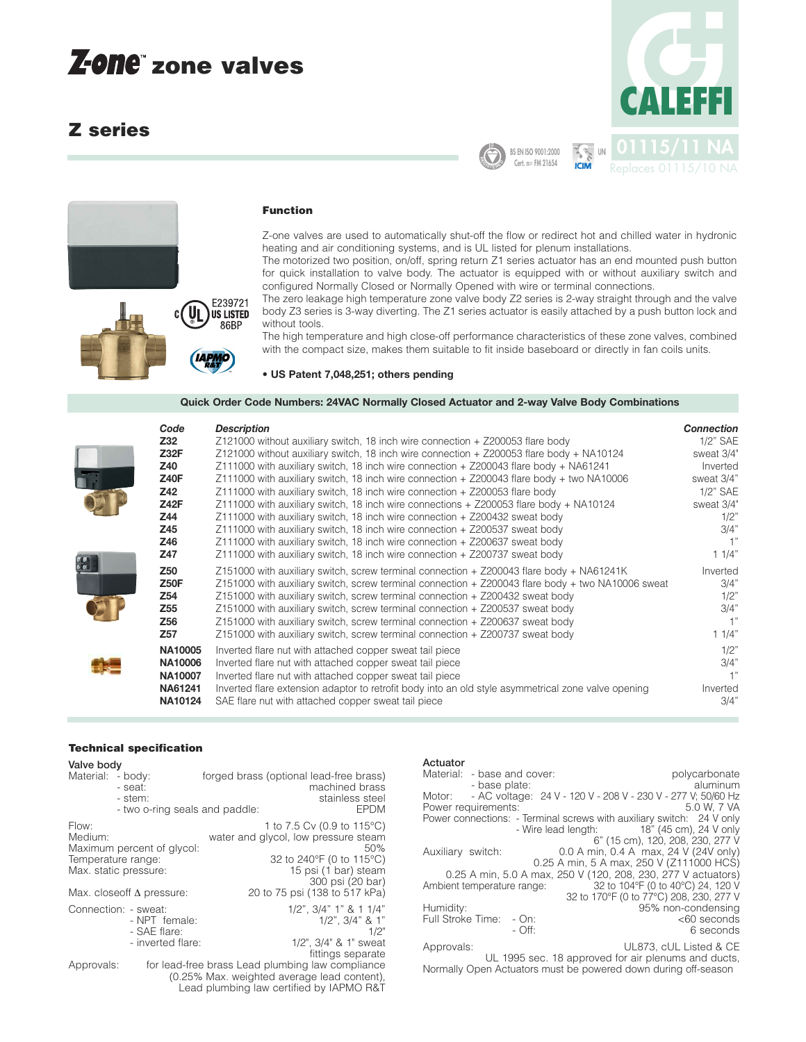# **zone valves**

# **Z series**





# **Function**

Z-one valves are used to automatically shut-off the flow or redirect hot and chilled water in hydronic heating and air conditioning systems, and is UL listed for plenum installations.

The motorized two position, on/off, spring return Z1 series actuator has an end mounted push button for quick installation to valve body. The actuator is equipped with or without auxiliary switch and configured Normally Closed or Normally Opened with wire or terminal connections.

The zero leakage high temperature zone valve body Z2 series is 2-way straight through and the valve body Z3 series is 3-way diverting. The Z1 series actuator is easily attached by a push button lock and without tools.

The high temperature and high close-off performance characteristics of these zone valves, combined with the compact size, makes them suitable to fit inside baseboard or directly in fan coils units.

#### **• US Patent 7,048,251; others pending**

**Quick Order Code Numbers: 24VAC Normally Closed Actuator and 2-way Valve Body Combinations**

| Code            | <b>Description</b>                                                                                  | <b>Connection</b> |
|-----------------|-----------------------------------------------------------------------------------------------------|-------------------|
| Z32             | Z121000 without auxiliary switch, 18 inch wire connection + Z200053 flare body                      | $1/2$ " SAE       |
| Z32F            | $Z121000$ without auxiliary switch, 18 inch wire connection $+$ Z200053 flare body $+$ NA10124      | sweat 3/4"        |
| Z40             | Z111000 with auxiliary switch, 18 inch wire connection + Z200043 flare body + NA61241               | Inverted          |
| <b>Z40F</b>     | Z111000 with auxiliary switch, 18 inch wire connection + Z200043 flare body + two NA10006           | sweat 3/4"        |
| Z42             | Z111000 with auxiliary switch, 18 inch wire connection + Z200053 flare body                         | 1/2" SAE          |
| <b>Z42F</b>     | Z111000 with auxiliary switch, 18 inch wire connections + Z200053 flare body + NA10124              | sweat 3/4"        |
| Z44             | Z111000 with auxiliary switch, 18 inch wire connection + Z200432 sweat body                         | 1/2"              |
| Z45             | Z111000 with auxiliary switch, 18 inch wire connection + Z200537 sweat body                         | 3/4"              |
| Z46             | Z111000 with auxiliary switch, 18 inch wire connection + Z200637 sweat body                         |                   |
| Z47             | Z111000 with auxiliary switch, 18 inch wire connection + Z200737 sweat body                         | 11/4"             |
| Z <sub>50</sub> | Z151000 with auxiliary switch, screw terminal connection + Z200043 flare body + NA61241K            | Inverted          |
| <b>Z50F</b>     | Z151000 with auxiliary switch, screw terminal connection + Z200043 flare body + two NA10006 sweat   | 3/4"              |
| Z54             | Z151000 with auxiliary switch, screw terminal connection + Z200432 sweat body                       | 1/2"              |
| Z <sub>55</sub> | Z151000 with auxiliary switch, screw terminal connection + Z200537 sweat body                       | 3/4"              |
| Z <sub>56</sub> | Z151000 with auxiliary switch, screw terminal connection + Z200637 sweat body                       |                   |
| Z57             | Z151000 with auxiliary switch, screw terminal connection + Z200737 sweat body                       | 11/4"             |
| <b>NA10005</b>  | Inverted flare nut with attached copper sweat tail piece                                            | 1/2"              |
| <b>NA10006</b>  | Inverted flare nut with attached copper sweat tail piece                                            | 3/4"              |
| <b>NA10007</b>  | Inverted flare nut with attached copper sweat tail piece                                            |                   |
| NA61241         | Inverted flare extension adaptor to retrofit body into an old style asymmetrical zone valve opening | Inverted          |
| NA10124         | SAE flare nut with attached copper sweat tail piece                                                 | 3/4"              |
|                 |                                                                                                     |                   |

#### **Technical specification**

| Valve body                             |                                                                                         |                                                                                                                                                                                    |
|----------------------------------------|-----------------------------------------------------------------------------------------|------------------------------------------------------------------------------------------------------------------------------------------------------------------------------------|
| Material: - body:                      | - seat:<br>- stem:<br>- two o-ring seals and paddle:                                    | forged brass (optional lead-free brass)<br>machined brass<br>stainless steel<br><b>EPDM</b>                                                                                        |
| Flow:<br>Medium:<br>Temperature range: | Maximum percent of glycol:<br>Max. static pressure:<br>Max. closeoff $\Delta$ pressure: | 1 to 7.5 Cv (0.9 to 115°C)<br>water and glycol, low pressure steam<br>50%<br>32 to 240°F (0 to 115°C)<br>15 psi (1 bar) steam<br>300 psi (20 bar)<br>20 to 75 psi (138 to 517 kPa) |
|                                        | Connection: - sweat:<br>- NPT female:<br>- SAE flare:<br>- inverted flare:              | $1/2$ ", $3/4$ " $1$ " & $1 \ 1/4$ "<br>$1/2$ ", $3/4$ " & $1$ "<br>1/2"<br>1/2", 3/4" & 1" sweat<br>fittings separate                                                             |
| Approvals:                             |                                                                                         | for lead-free brass Lead plumbing law compliance<br>(0.25% Max. weighted average lead content),<br>Lead plumbing law certified by IAPMO R&T                                        |

#### Actuator

|                   | Material: - base and cover:<br>- base plate: | polycarbonate<br>aluminum                                             |
|-------------------|----------------------------------------------|-----------------------------------------------------------------------|
| Motor:            |                                              | - AC voltage: 24 V - 120 V - 208 V - 230 V - 277 V; 50/60 Hz          |
|                   | Power requirements:                          | 5.0 W. 7 VA                                                           |
|                   |                                              | Power connections: - Terminal screws with auxiliary switch: 24 V only |
|                   |                                              | - Wire lead length: 18" (45 cm), 24 V only                            |
|                   |                                              | 6" (15 cm), 120, 208, 230, 277 V                                      |
| Auxiliary switch: |                                              | 0.0 A min, 0.4 A max, 24 V (24V only)                                 |
|                   |                                              | 0.25 A min, 5 A max, 250 V (Z111000 HCS)                              |
|                   |                                              | 0.25 A min, 5.0 A max, 250 V (120, 208, 230, 277 V actuators)         |
|                   | Ambient temperature range:                   | 32 to 104°F (0 to 40°C) 24, 120 V                                     |
|                   |                                              | 32 to 170°F (0 to 77°C) 208, 230, 277 V                               |
| Humidity:         |                                              | 95% non-condensing                                                    |
|                   | Full Stroke Time: - On:                      | <60 seconds                                                           |
|                   | $-$ Off:                                     | 6 seconds                                                             |
| Approvals:        |                                              | UL873, cUL Listed & CE                                                |
|                   |                                              | III 1995 sec 18 approved for air plenums and ducts                    |

upproved for air plenums and ducts, Normally Open Actuators must be powered down during off-season

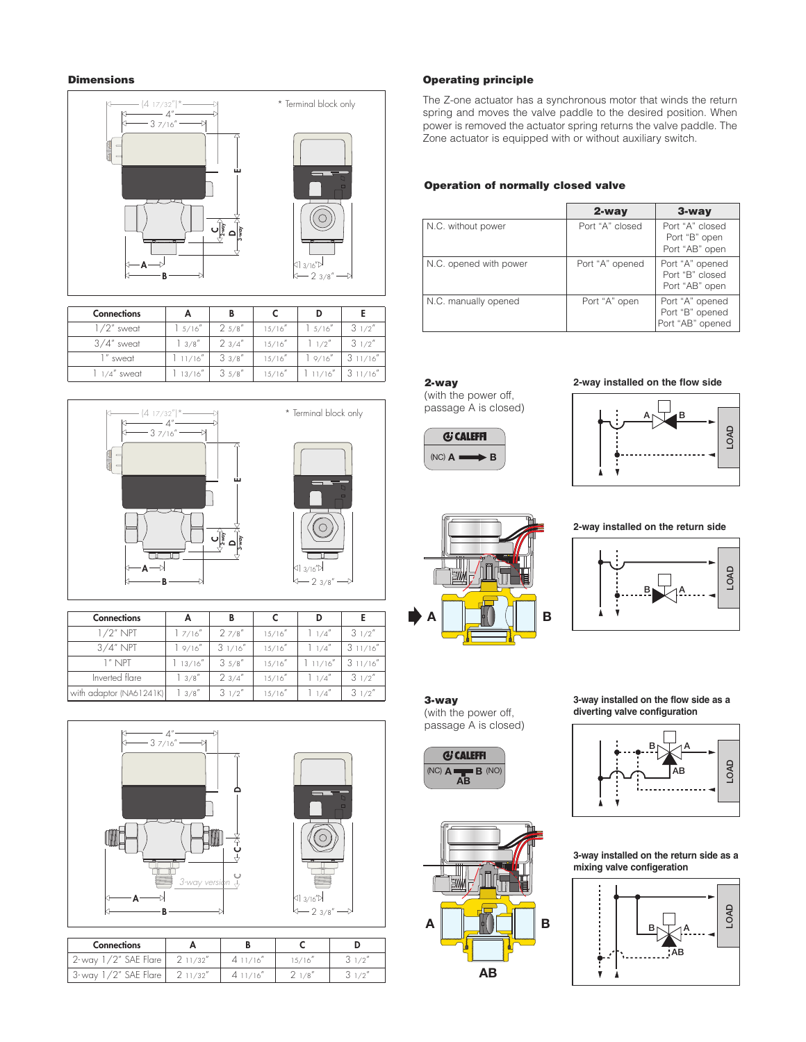### **Dimensions**



| <b>Connections</b> | А       | В      |         |         |          |
|--------------------|---------|--------|---------|---------|----------|
| $1/2$ " sweat      | 5/16''  | 25/8'' | 15/16'' | 15/16'' | 31/2''   |
| $3/4''$ sweat      | 13/8''  | 23/4'' | 15/16'' | 1/2     | 31/2''   |
| sweat              | 11/16'' | 33/8'' | 15/16'' | 19/16'' | 311/16'' |
| $1/4''$ sweat      | 13/16'' | 35/8'' | 15/16'' |         | 311/16'' |



| <b>Connections</b>      |         |         |         |         |          |
|-------------------------|---------|---------|---------|---------|----------|
| $1/2$ " NPT             | 7/16''  | 27/8''  | 15/16'' | 1/4''   | 31/2''   |
| $3/4"$ NPT              | 9/16''  | 31/16'' | 15/16'' | 1/4''   | 311/16'' |
| 1" NPT                  | 13/16'' | 35/8''  | 15/16'' | 11/16'' | 311/16'' |
| Inverted flare          | 3/8''   | 23/4''  | 15/16'' | 1/4''   | 31/2''   |
| with adaptor (NA61241K) | 3/8''   | 31/2''  | 15/16'' | 1/4''   | 31/2''   |



| <b>Connections</b>        |         |  |            |
|---------------------------|---------|--|------------|
| /2″ SAE Flare<br>$2$ -wav | 11/32'' |  | $\sqrt{2}$ |
| /2″ SAE Flare<br>3- wav   | 1/32''  |  | $\sqrt{2}$ |

#### **Operating principle**

The Z-one actuator has a synchronous motor that winds the return spring and moves the valve paddle to the desired position. When power is removed the actuator spring returns the valve paddle. The Zone actuator is equipped with or without auxiliary switch.

#### **Operation of normally closed valve**

|                        | 2-way           | $3$ -way                                               |
|------------------------|-----------------|--------------------------------------------------------|
| N.C. without power     | Port "A" closed | Port "A" closed<br>Port "B" open<br>Port "AB" open     |
| N.C. opened with power | Port "A" opened | Port "A" opened<br>Port "B" closed<br>Port "AB" open   |
| N.C. manually opened   | Port "A" open   | Port "A" opened<br>Port "B" opened<br>Port "AB" opened |

### **2-way**

(with the power off, passage A is closed)



#### **2-way installed on the flow side**





**2-way installed on the return side**



#### **3-way** (with the power off, passage A is closed)





**3-way installed on the flow side as a diverting valve configuration**



**3-way installed on the return side as a mixing valve configeration**

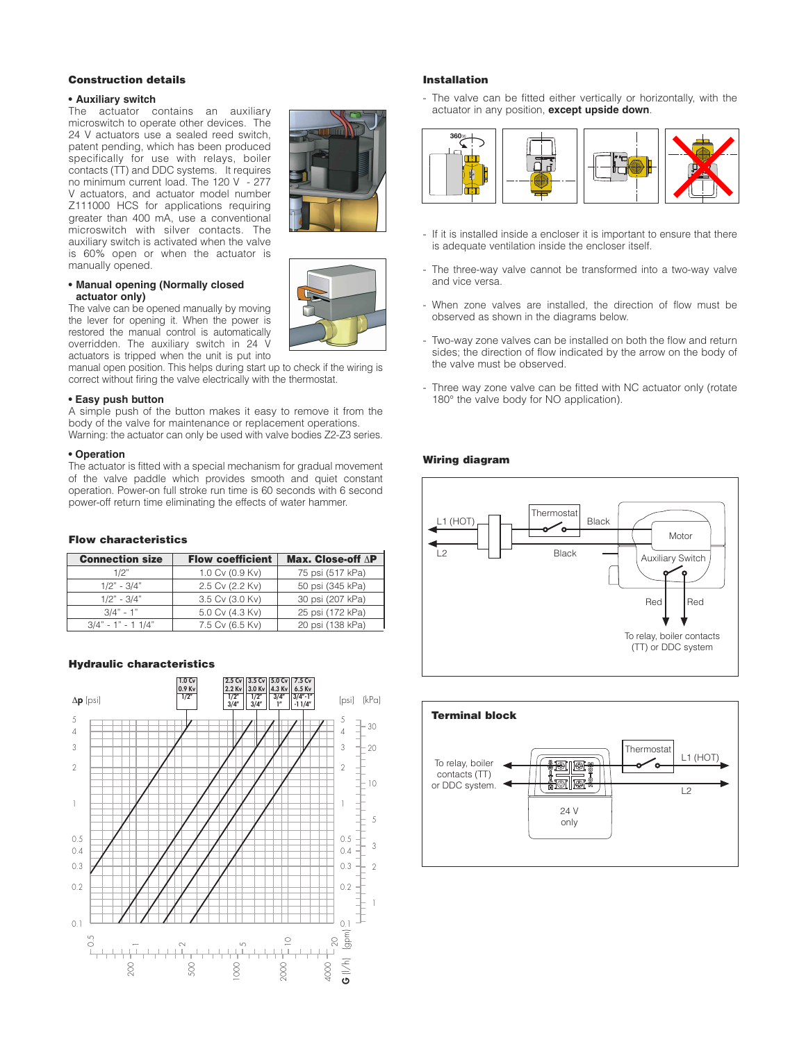#### **Construction details**

#### **• Auxiliary switch**

The actuator contains an auxiliary microswitch to operate other devices. The 24 V actuators use a sealed reed switch, patent pending, which has been produced specifically for use with relays, boiler contacts (TT) and DDC systems. It requires no minimum current load. The 120 V - 277 V actuators, and actuator model number Z111000 HCS for applications requiring greater than 400 mA, use a conventional microswitch with silver contacts. The auxiliary switch is activated when the valve is 60% open or when the actuator is manually opened.

#### **• Manual opening (Normally closed actuator only)**

The valve can be opened manually by moving the lever for opening it. When the power is restored the manual control is automatically overridden. The auxiliary switch in 24 V actuators is tripped when the unit is put into

manual open position. This helps during start up to check if the wiring is correct without firing the valve electrically with the thermostat.

#### **• Easy push button**

A simple push of the button makes it easy to remove it from the body of the valve for maintenance or replacement operations. Warning: the actuator can only be used with valve bodies Z2-Z3 series.

#### **• Operation**

The actuator is fitted with a special mechanism for gradual movement of the valve paddle which provides smooth and quiet constant operation. Power-on full stroke run time is 60 seconds with 6 second power-off return time eliminating the effects of water hammer.

#### **Flow characteristics**

| <b>Connection size</b> | <b>Flow coefficient</b> | Max. Close-off ∆P |
|------------------------|-------------------------|-------------------|
| 1/2"                   | 1.0 Cv (0.9 Kv)         | 75 psi (517 kPa)  |
| $1/2" - 3/4"$          | 2.5 Cv (2.2 Kv)         | 50 psi (345 kPa)  |
| $1/2" - 3/4"$          | 3.5 Cv (3.0 Kv)         | 30 psi (207 kPa)  |
| $3/4" - 1"$            | 5.0 Cv (4.3 Kv)         | 25 psi (172 kPa)  |
| $3/4" - 1" - 11/4"$    | 7.5 Cv (6.5 Kv)         | 20 psi (138 kPa)  |

#### **Hydraulic characteristics**



#### **Installation**

- The valve can be fitted either vertically or horizontally, with the actuator in any position, **except upside down**.



- If it is installed inside a encloser it is important to ensure that there is adequate ventilation inside the encloser itself.
- The three-way valve cannot be transformed into a two-way valve and vice versa.
- When zone valves are installed, the direction of flow must be observed as shown in the diagrams below.
- Two-way zone valves can be installed on both the flow and return sides; the direction of flow indicated by the arrow on the body of the valve must be observed.
- Three way zone valve can be fitted with NC actuator only (rotate 180° the valve body for NO application).

#### **Wiring diagram**







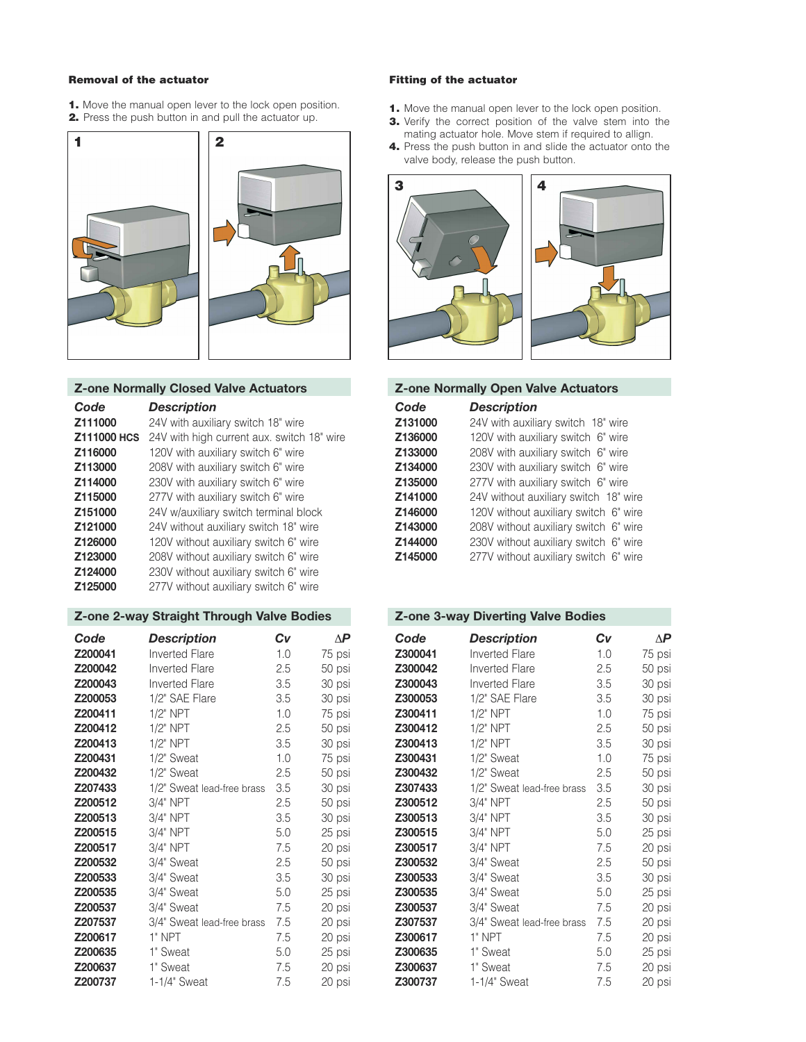#### **Removal of the actuator**

- **1.** Move the manual open lever to the lock open position.
- **2.** Press the push button in and pull the actuator up.



# **Z-one Normally Closed Valve Actuators Z-one Normally Open Valve Actuators**

| Code    | <b>Description</b>                                            | Code    | <b>Description</b>                    |
|---------|---------------------------------------------------------------|---------|---------------------------------------|
| Z111000 | 24V with auxiliary switch 18" wire                            | Z131000 | 24V with auxiliary switch 18" wire    |
|         | <b>Z111000 HCS</b> 24V with high current aux. switch 18" wire | Z136000 | 120V with auxiliary switch 6" wire    |
| Z116000 | 120V with auxiliary switch 6" wire                            | Z133000 | 208V with auxiliary switch 6" wire    |
| Z113000 | 208V with auxiliary switch 6" wire                            | Z134000 | 230V with auxiliary switch 6" wire    |
| Z114000 | 230V with auxiliary switch 6" wire                            | Z135000 | 277V with auxiliary switch 6" wire    |
| Z115000 | 277V with auxiliary switch 6" wire                            | Z141000 | 24V without auxiliary switch 18" wire |
| Z151000 | 24V w/auxiliary switch terminal block                         | Z146000 | 120V without auxiliary switch 6" wire |
| Z121000 | 24V without auxiliary switch 18" wire                         | Z143000 | 208V without auxiliary switch 6" wire |
| Z126000 | 120V without auxiliary switch 6" wire                         | Z144000 | 230V without auxiliary switch 6" wire |
| Z123000 | 208V without auxiliary switch 6" wire                         | Z145000 | 277V without auxiliary switch 6" wire |
| Z124000 | 230V without auxiliary switch 6" wire                         |         |                                       |
| Z125000 | 277V without auxiliary switch 6" wire                         |         |                                       |
|         |                                                               |         |                                       |

## **Z-one 2-way Straight Through Valve Bodies Z-one 3-way Diverting Valve Bodies**

| Code    | <b>Description</b>         | Cv  | $\Delta P$ | Code    | <b>Description</b>         | Cv  | $\Delta P$ |
|---------|----------------------------|-----|------------|---------|----------------------------|-----|------------|
| Z200041 | Inverted Flare             | 1.0 | 75 psi     | Z300041 | Inverted Flare             | 1.0 | 75 psi     |
| Z200042 | <b>Inverted Flare</b>      | 2.5 | 50 psi     | Z300042 | <b>Inverted Flare</b>      | 2.5 | 50 psi     |
| Z200043 | <b>Inverted Flare</b>      | 3.5 | 30 psi     | Z300043 | <b>Inverted Flare</b>      | 3.5 | 30 psi     |
| Z200053 | 1/2" SAE Flare             | 3.5 | 30 psi     | Z300053 | 1/2" SAE Flare             | 3.5 | 30 psi     |
| Z200411 | $1/2$ " NPT                | 1.0 | 75 psi     | Z300411 | $1/2$ " NPT                | 1.0 | 75 psi     |
| Z200412 | $1/2$ " NPT                | 2.5 | 50 psi     | Z300412 | $1/2"$ NPT                 | 2.5 | 50 psi     |
| Z200413 | $1/2$ " NPT                | 3.5 | 30 psi     | Z300413 | $1/2"$ NPT                 | 3.5 | 30 psi     |
| Z200431 | 1/2" Sweat                 | 1.0 | 75 psi     | Z300431 | 1/2" Sweat                 | 1.0 | 75 psi     |
| Z200432 | 1/2" Sweat                 | 2.5 | 50 psi     | Z300432 | 1/2" Sweat                 | 2.5 | 50 psi     |
| Z207433 | 1/2" Sweat lead-free brass | 3.5 | 30 psi     | Z307433 | 1/2" Sweat lead-free brass | 3.5 | 30 psi     |
| Z200512 | $3/4"$ NPT                 | 2.5 | 50 psi     | Z300512 | $3/4"$ NPT                 | 2.5 | 50 psi     |
| Z200513 | $3/4"$ NPT                 | 3.5 | 30 psi     | Z300513 | $3/4"$ NPT                 | 3.5 | 30 psi     |
| Z200515 | 3/4" NPT                   | 5.0 | 25 psi     | Z300515 | 3/4" NPT                   | 5.0 | 25 psi     |
| Z200517 | $3/4"$ NPT                 | 7.5 | 20 psi     | Z300517 | $3/4"$ NPT                 | 7.5 | 20 psi     |
| Z200532 | 3/4" Sweat                 | 2.5 | 50 psi     | Z300532 | 3/4" Sweat                 | 2.5 | 50 psi     |
| Z200533 | 3/4" Sweat                 | 3.5 | 30 psi     | Z300533 | 3/4" Sweat                 | 3.5 | 30 psi     |
| Z200535 | 3/4" Sweat                 | 5.0 | 25 psi     | Z300535 | 3/4" Sweat                 | 5.0 | 25 psi     |
| Z200537 | 3/4" Sweat                 | 7.5 | 20 psi     | Z300537 | 3/4" Sweat                 | 7.5 | 20 psi     |
| Z207537 | 3/4" Sweat lead-free brass | 7.5 | 20 psi     | Z307537 | 3/4" Sweat lead-free brass | 7.5 | 20 psi     |
| Z200617 | $1"$ NPT                   | 7.5 | 20 psi     | Z300617 | 1" NPT                     | 7.5 | 20 psi     |
| Z200635 | 1" Sweat                   | 5.0 | 25 psi     | Z300635 | 1" Sweat                   | 5.0 | 25 psi     |
| Z200637 | 1" Sweat                   | 7.5 | 20 psi     | Z300637 | 1" Sweat                   | 7.5 | 20 psi     |
| Z200737 | 1-1/4" Sweat               | 7.5 | 20 psi     | Z300737 | 1-1/4" Sweat               | 7.5 | 20 psi     |

#### **Fitting of the actuator**

- 1. Move the manual open lever to the lock open position.
- **3.** Verify the correct position of the valve stem into the mating actuator hole. Move stem if required to allign.
- **4.** Press the push button in and slide the actuator onto the valve body, release the push button.



|         | <b>Z-one Normally Open Valve Actuators</b> |
|---------|--------------------------------------------|
| Code    | <b>Description</b>                         |
| Z131000 | 24V with auxiliary switch 18" wire         |
| Z136000 | 120V with auxiliary switch 6" wire         |
| Z133000 | 208V with auxiliary switch 6" wire         |
| Z134000 | 230V with auxiliary switch 6" wire         |
| Z135000 | 277V with auxiliary switch 6" wire         |
| Z141000 | 24V without auxiliary switch 18" wire      |
| Z146000 | 120V without auxiliary switch 6" wire      |
| Z143000 | 208V without auxiliary switch 6" wire      |
| Z144000 | 230V without auxiliary switch 6" wire      |
| Z145000 | 277V without auxiliary switch 6" wire      |

| Code           | <b>Description</b>         | Cv  | $\Delta P$ | Code    | <b>Description</b>         | Cv  | $\Delta P$ |
|----------------|----------------------------|-----|------------|---------|----------------------------|-----|------------|
| Z200041        | Inverted Flare             | 1.0 | 75 psi     | Z300041 | Inverted Flare             | 1.0 | 75 psi     |
| Z200042        | <b>Inverted Flare</b>      | 2.5 | 50 psi     | Z300042 | <b>Inverted Flare</b>      | 2.5 | 50 psi     |
| Z200043        | <b>Inverted Flare</b>      | 3.5 | 30 psi     | Z300043 | <b>Inverted Flare</b>      | 3.5 | 30 psi     |
| <b>Z200053</b> | 1/2" SAE Flare             | 3.5 | 30 psi     | Z300053 | 1/2" SAE Flare             | 3.5 | 30 psi     |
| Z200411        | $1/2$ " NPT                | 1.0 | 75 psi     | Z300411 | $1/2$ " NPT                | 1.0 | 75 psi     |
| Z200412        | $1/2$ " NPT                | 2.5 | 50 psi     | Z300412 | $1/2$ " NPT                | 2.5 | 50 psi     |
| Z200413        | $1/2$ " NPT                | 3.5 | 30 psi     | Z300413 | $1/2"$ NPT                 | 3.5 | 30 psi     |
| Z200431        | 1/2" Sweat                 | 1.0 | 75 psi     | Z300431 | 1/2" Sweat                 | 1.0 | 75 psi     |
| Z200432        | 1/2" Sweat                 | 2.5 | 50 psi     | Z300432 | 1/2" Sweat                 | 2.5 | 50 psi     |
| Z207433        | 1/2" Sweat lead-free brass | 3.5 | 30 psi     | Z307433 | 1/2" Sweat lead-free brass | 3.5 | 30 psi     |
| Z200512        | 3/4" NPT                   | 2.5 | 50 psi     | Z300512 | 3/4" NPT                   | 2.5 | 50 psi     |
| Z200513        | 3/4" NPT                   | 3.5 | 30 psi     | Z300513 | 3/4" NPT                   | 3.5 | 30 psi     |
| Z200515        | 3/4" NPT                   | 5.0 | 25 psi     | Z300515 | 3/4" NPT                   | 5.0 | 25 psi     |
| Z200517        | 3/4" NPT                   | 7.5 | 20 psi     | Z300517 | 3/4" NPT                   | 7.5 | 20 psi     |
| Z200532        | 3/4" Sweat                 | 2.5 | 50 psi     | Z300532 | 3/4" Sweat                 | 2.5 | 50 psi     |
| <b>Z200533</b> | 3/4" Sweat                 | 3.5 | 30 psi     | Z300533 | 3/4" Sweat                 | 3.5 | 30 psi     |
| <b>Z200535</b> | 3/4" Sweat                 | 5.0 | 25 psi     | Z300535 | 3/4" Sweat                 | 5.0 | 25 psi     |
| Z200537        | 3/4" Sweat                 | 7.5 | 20 psi     | Z300537 | 3/4" Sweat                 | 7.5 | 20 psi     |
| <b>Z207537</b> | 3/4" Sweat lead-free brass | 7.5 | 20 psi     | Z307537 | 3/4" Sweat lead-free brass | 7.5 | 20 psi     |
| Z200617        | 1" NPT                     | 7.5 | 20 psi     | Z300617 | 1" NPT                     | 7.5 | 20 psi     |
| <b>Z200635</b> | 1" Sweat                   | 5.0 | 25 psi     | Z300635 | 1" Sweat                   | 5.0 | 25 psi     |
| <b>Z200637</b> | 1" Sweat                   | 7.5 | 20 psi     | Z300637 | 1" Sweat                   | 7.5 | 20 psi     |
| Z200737        | 1-1/4" Sweat               | 7.5 | 20 psi     | Z300737 | 1-1/4" Sweat               | 7.5 | 20 psi     |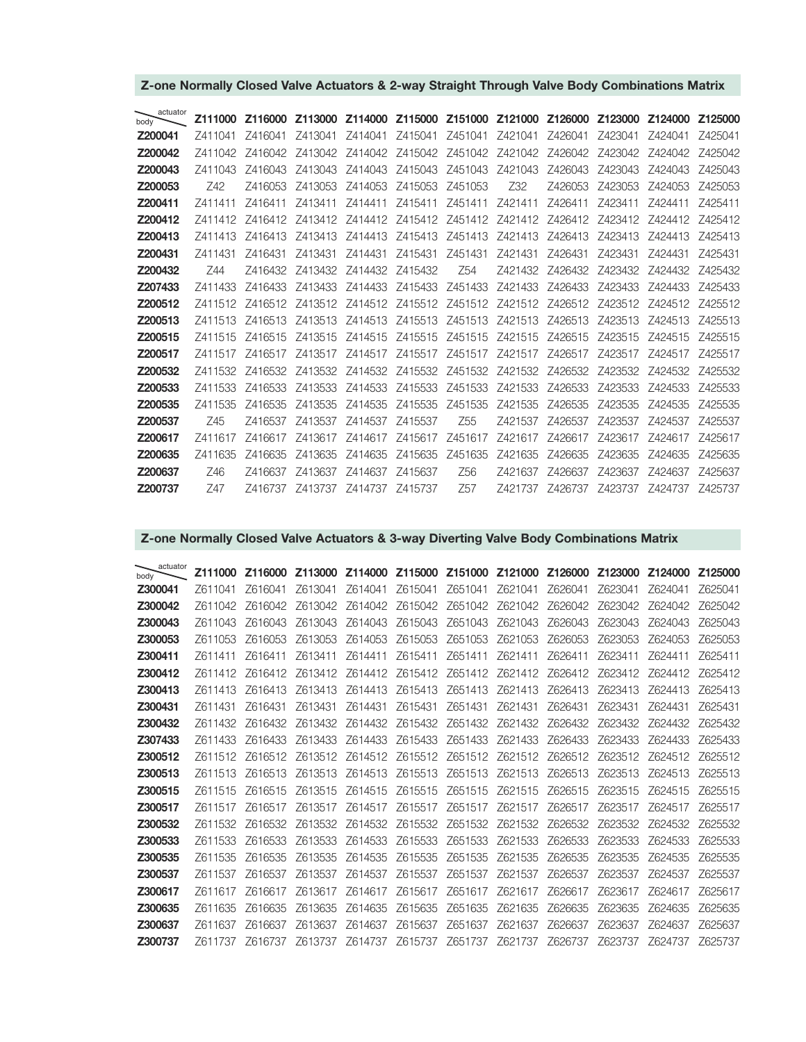| actuator<br>body |         |         | Z111000 Z116000 Z113000 Z114000 Z115000 Z151000 Z121000 Z126000 Z123000         |                                 |                         |                                 |                                                                 |         |                                         | Z124000 Z125000 |         |
|------------------|---------|---------|---------------------------------------------------------------------------------|---------------------------------|-------------------------|---------------------------------|-----------------------------------------------------------------|---------|-----------------------------------------|-----------------|---------|
| Z200041          | 7411041 | 7416041 | Z413041                                                                         | Z414041                         | Z415041                 | Z451041                         | Z421041                                                         | Z426041 | 7423041                                 | 7424041         | 7425041 |
| Z200042          | 7411042 | Z416042 |                                                                                 |                                 |                         |                                 | Z413042 Z414042 Z415042 Z451042 Z421042 Z426042                 |         | Z423042                                 | 7424042         | 7425042 |
| Z200043          | 7411043 | 7416043 | Z413043                                                                         |                                 |                         | Z414043 Z415043 Z451043 Z421043 |                                                                 | Z426043 | Z423043                                 | 7424043         | 7425043 |
| Z200053          | Z42     | Z416053 | Z413053                                                                         |                                 | Z414053 Z415053 Z451053 |                                 | Z32                                                             | Z426053 | Z423053                                 | Z424053         | Z425053 |
| Z200411          | 7411411 | Z416411 | Z413411                                                                         | Z414411                         |                         | Z415411 Z451411 Z421411         |                                                                 | Z426411 | Z423411                                 | Z424411         | 7425411 |
| Z200412          | 7411412 |         | Z416412 Z413412 Z414412 Z415412 Z451412 Z421412 Z426412                         |                                 |                         |                                 |                                                                 |         | 7423412 7424412                         |                 | 7425412 |
| Z200413          | 7411413 | Z416413 | Z413413                                                                         |                                 | Z414413 Z415413 Z451413 |                                 | Z421413                                                         | Z426413 | Z423413                                 | 7424413         | 7425413 |
| Z200431          | 7411431 | Z416431 | Z413431                                                                         | Z414431                         | Z415431 Z451431         |                                 | Z421431                                                         | Z426431 | Z423431                                 | Z424431         | 7425431 |
| Z200432          | 744     | 7416432 |                                                                                 | Z413432 Z414432 Z415432         |                         | Z54                             |                                                                 |         | Z421432 Z426432 Z423432 Z424432 Z425432 |                 |         |
| Z207433          | Z411433 | Z416433 |                                                                                 |                                 |                         |                                 | Z413433 Z414433 Z415433 Z451433 Z421433 Z426433 Z423433 Z424433 |         |                                         |                 | Z425433 |
| Z200512          |         |         | Z411512 Z416512 Z413512 Z414512 Z415512 Z451512 Z421512 Z426512 Z423512 Z424512 |                                 |                         |                                 |                                                                 |         |                                         |                 | 7425512 |
| Z200513          | 7411513 | 7416513 | Z413513 Z414513 Z415513 Z451513 Z421513 Z426513 Z423513                         |                                 |                         |                                 |                                                                 |         |                                         | 7424513         | 7425513 |
| Z200515          | Z411515 | Z416515 |                                                                                 |                                 |                         |                                 | Z413515 Z414515 Z415515 Z451515 Z421515 Z426515                 |         | Z423515                                 | 7424515         | 7425515 |
| Z200517          | 7411517 | 7416517 |                                                                                 |                                 |                         |                                 | Z413517 Z414517 Z415517 Z451517 Z421517 Z426517 Z423517 Z424517 |         |                                         |                 | 7425517 |
| Z200532          | Z411532 |         | Z416532 Z413532 Z414532 Z415532 Z451532 Z421532 Z426532 Z423532 Z424532 Z425532 |                                 |                         |                                 |                                                                 |         |                                         |                 |         |
| Z200533          | Z411533 | Z416533 |                                                                                 | Z413533 Z414533 Z415533 Z451533 |                         |                                 | Z421533                                                         | Z426533 | Z423533                                 | 7424533         | Z425533 |
| Z200535          | 7411535 | Z416535 | Z413535                                                                         | Z414535                         | Z415535                 | Z451535                         | Z421535                                                         | Z426535 | Z423535                                 | 7424535         | 7425535 |
| Z200537          | Z45     | Z416537 | Z413537                                                                         | Z414537 Z415537                 |                         | Z55                             | Z421537                                                         | Z426537 | Z423537                                 | 7424537         | 7425537 |
| Z200617          | 7411617 | 7416617 |                                                                                 | Z413617 Z414617 Z415617 Z451617 |                         |                                 |                                                                 |         | Z421617 Z426617 Z423617 Z424617         |                 | 7425617 |
| Z200635          | 7411635 | 7416635 | Z413635                                                                         |                                 | Z414635 Z415635         | Z451635                         | Z421635                                                         | Z426635 | Z423635                                 | 7424635         | Z425635 |
| Z200637          | Z46     | 7416637 |                                                                                 | Z413637 Z414637 Z415637         |                         | Z56                             | Z421637                                                         | Z426637 |                                         | Z423637 Z424637 | Z425637 |
| Z200737          | 747     |         | Z416737 Z413737 Z414737 Z415737                                                 |                                 |                         | Z57                             |                                                                 |         |                                         |                 |         |

# **Z-one Normally Closed Valve Actuators & 2-way Straight Through Valve Body Combinations Matrix**

# **Z-one Normally Closed Valve Actuators & 3-way Diverting Valve Body Combinations Matrix**

| actuator<br>body | Z111000 | Z116000 |                                                                                 |         |                         |                                         | Z113000 Z114000 Z115000 Z151000 Z121000 Z126000 Z123000 Z124000 Z125000 |         |                 |                 |         |
|------------------|---------|---------|---------------------------------------------------------------------------------|---------|-------------------------|-----------------------------------------|-------------------------------------------------------------------------|---------|-----------------|-----------------|---------|
| Z300041          | 7611041 | Z616041 | Z613041                                                                         | Z614041 | Z615041                 | Z651041                                 | Z621041                                                                 | Z626041 | Z623041         | Z624041         | Z625041 |
| Z300042          | 7611042 | 7616042 | Z613042                                                                         |         |                         | Z614042 Z615042 Z651042 Z621042         |                                                                         | Z626042 |                 | Z623042 Z624042 | Z625042 |
| Z300043          | Z611043 | Z616043 | Z613043                                                                         | Z614043 | Z615043                 | Z651043                                 | Z621043                                                                 | Z626043 | Z623043         | Z624043         | Z625043 |
| Z300053          | 7611053 | Z616053 | Z613053                                                                         |         |                         | Z614053 Z615053 Z651053                 | Z621053                                                                 | Z626053 | Z623053         | Z624053         | Z625053 |
| Z300411          | 7611411 | Z616411 | Z613411                                                                         | Z614411 | Z615411                 | Z651411                                 | Z621411                                                                 | Z626411 | Z623411         | Z624411         | Z625411 |
| Z300412          | 7611412 |         | Z616412 Z613412 Z614412 Z615412 Z651412 Z621412 Z626412                         |         |                         |                                         |                                                                         |         | Z623412 Z624412 |                 | 7625412 |
| Z300413          | 7611413 | 7616413 | 7613413                                                                         | Z614413 | Z615413                 | Z651413                                 | Z621413                                                                 | Z626413 | Z623413         | 7624413         | 7625413 |
| Z300431          | Z611431 | Z616431 | Z613431                                                                         | Z614431 | Z615431                 | Z651431                                 | Z621431                                                                 | Z626431 | Z623431         | Z624431         | Z625431 |
| Z300432          | 7611432 | Z616432 |                                                                                 |         |                         |                                         | Z613432 Z614432 Z615432 Z651432 Z621432 Z626432 Z623432 Z624432         |         |                 |                 | Z625432 |
| Z307433          | 7611433 | 7616433 | 7613433                                                                         |         | Z614433 Z615433 Z651433 |                                         | Z621433                                                                 | Z626433 | Z623433         | 7624433         | 7625433 |
| Z300512          | 7611512 |         | Z616512 Z613512 Z614512 Z615512 Z651512 Z621512 Z626512 Z623512 Z624512         |         |                         |                                         |                                                                         |         |                 |                 | Z625512 |
| Z300513          | Z611513 | Z616513 | Z613513                                                                         |         |                         | Z614513 Z615513 Z651513 Z621513         |                                                                         | Z626513 | Z623513         | Z624513         | Z625513 |
| Z300515          | 7611515 | 7616515 | Z613515                                                                         |         |                         | Z614515 Z615515 Z651515 Z621515         |                                                                         | Z626515 | Z623515         | 7624515         | 7625515 |
| Z300517          | Z611517 | Z616517 |                                                                                 |         |                         | Z613517 Z614517 Z615517 Z651517 Z621517 |                                                                         | Z626517 | Z623517         | Z624517         | Z625517 |
| Z300532          | 7611532 |         | Z616532 Z613532 Z614532 Z615532 Z651532 Z621532 Z626532 Z623532 Z624532 Z625532 |         |                         |                                         |                                                                         |         |                 |                 |         |
| Z300533          | Z611533 | Z616533 | Z613533                                                                         |         |                         | Z614533 Z615533 Z651533 Z621533         |                                                                         | Z626533 | Z623533         | Z624533         | Z625533 |
| Z300535          | 7611535 | Z616535 | Z613535                                                                         |         |                         | Z614535 Z615535 Z651535 Z621535         |                                                                         | Z626535 | Z623535         | Z624535         | Z625535 |
| Z300537          | 7611537 | 7616537 | Z613537                                                                         |         |                         | Z614537 Z615537 Z651537 Z621537         |                                                                         | Z626537 | Z623537         | 7624537         | 7625537 |
| Z300617          | Z611617 | Z616617 | Z613617                                                                         |         |                         |                                         | Z614617 Z615617 Z651617 Z621617 Z626617                                 |         | Z623617         | Z624617         | Z625617 |
| Z300635          | 7611635 | 7616635 | Z613635                                                                         | Z614635 | Z615635                 | Z651635                                 | Z621635                                                                 | Z626635 | 7623635         | 7624635         | Z625635 |
| Z300637          | 7611637 | 7616637 | 7613637                                                                         | Z614637 | Z615637                 | Z651637                                 | Z621637                                                                 | Z626637 | Z623637         | 7624637         | 7625637 |
| Z300737          | 7611737 | Z616737 |                                                                                 |         |                         |                                         | Z613737 Z614737 Z615737 Z651737 Z621737 Z626737 Z623737 Z624737 Z625737 |         |                 |                 |         |